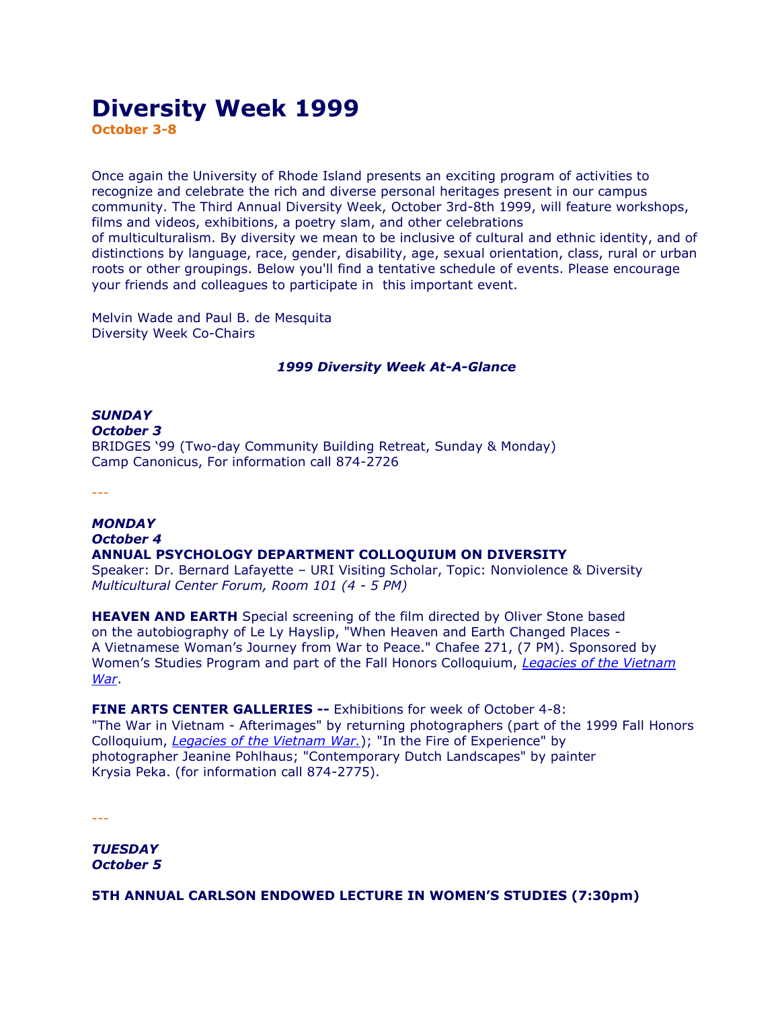# **Diversity Week 1999**

**October 3-8**

Once again the University of Rhode Island presents an exciting program of activities to recognize and celebrate the rich and diverse personal heritages present in our campus community. The Third Annual Diversity Week, October 3rd-8th 1999, will feature workshops, films and videos, exhibitions, a poetry slam, and other celebrations of multiculturalism. By diversity we mean to be inclusive of cultural and ethnic identity, and of distinctions by language, race, gender, disability, age, sexual orientation, class, rural or urban roots or other groupings. Below you'll find a tentative schedule of events. Please encourage your friends and colleagues to participate in this important event.

Melvin Wade and Paul B. de Mesquita Diversity Week Co-Chairs

## *1999 Diversity Week At-A-Glance*

## *SUNDAY October 3* BRIDGES '99 (Two-day Community Building Retreat, Sunday & Monday) Camp Canonicus, For information call 874-2726

---

#### *MONDAY October 4*

## **ANNUAL PSYCHOLOGY DEPARTMENT COLLOQUIUM ON DIVERSITY**

Speaker: Dr. Bernard Lafayette – URI Visiting Scholar, Topic: Nonviolence & Diversity *Multicultural Center Forum, Room 101 (4 - 5 PM)*

**HEAVEN AND EARTH** Special screening of the film directed by Oliver Stone based on the autobiography of Le Ly Hayslip, "When Heaven and Earth Changed Places - A Vietnamese Woman's Journey from War to Peace." Chafee 271, (7 PM). Sponsored by Women's Studies Program and part of the Fall Honors Colloquium, *[Legacies of the Vietnam](http://www.uri.edu/webmaster/current_events/vietnamwar.html)  [War](http://www.uri.edu/webmaster/current_events/vietnamwar.html)*.

## **FINE ARTS CENTER GALLERIES --** Exhibitions for week of October 4-8:

"The War in Vietnam - Afterimages" by returning photographers (part of the 1999 Fall Honors Colloquium, *[Legacies of the Vietnam War.](http://www.uri.edu/webmaster/current_events/vietnamwar.html)*); "In the Fire of Experience" by photographer Jeanine Pohlhaus; "Contemporary Dutch Landscapes" by painter Krysia Peka. (for information call 874-2775).

---

*TUESDAY October 5*

**5TH ANNUAL CARLSON ENDOWED LECTURE IN WOMEN'S STUDIES (7:30pm)**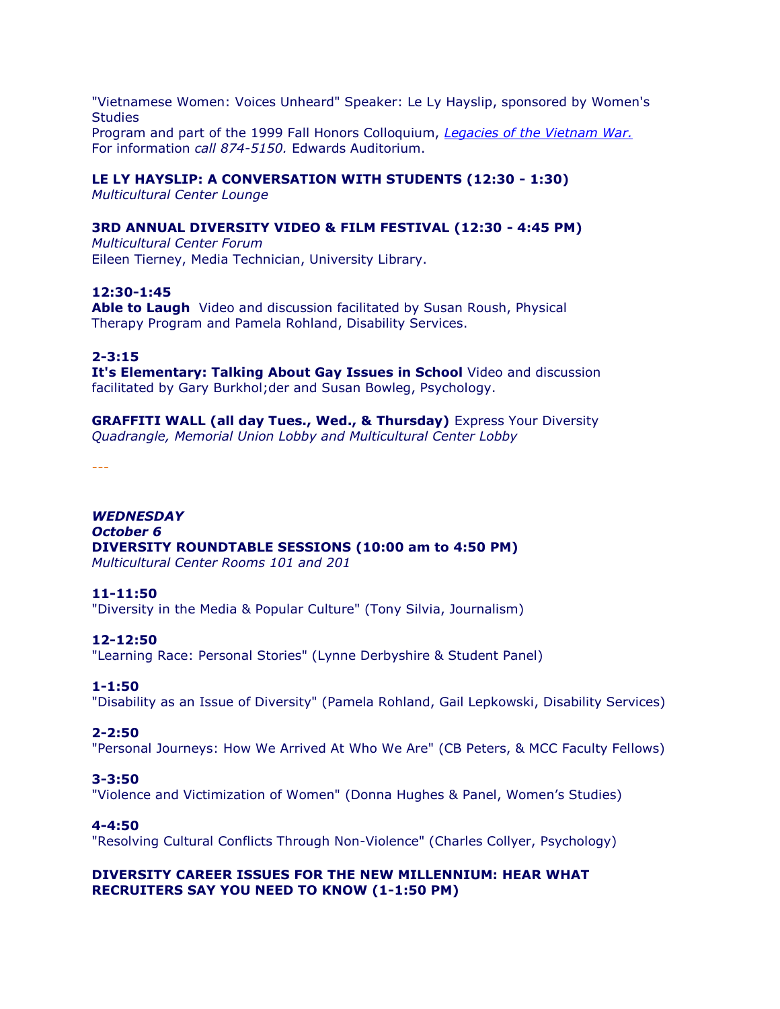"Vietnamese Women: Voices Unheard" Speaker: Le Ly Hayslip, sponsored by Women's **Studies** Program and part of the 1999 Fall Honors Colloquium, *[Legacies of the Vietnam War.](http://www.uri.edu/webmaster/current_events/vietnamwar.html)* For information *call 874-5150.* Edwards Auditorium.

## **LE LY HAYSLIP: A CONVERSATION WITH STUDENTS (12:30 - 1:30)**

*Multicultural Center Lounge*

## **3RD ANNUAL DIVERSITY VIDEO & FILM FESTIVAL (12:30 - 4:45 PM)**

*Multicultural Center Forum* Eileen Tierney, Media Technician, University Library.

## **12:30-1:45**

**Able to Laugh** Video and discussion facilitated by Susan Roush, Physical Therapy Program and Pamela Rohland, Disability Services.

**2-3:15**

**It's Elementary: Talking About Gay Issues in School** Video and discussion facilitated by Gary Burkhol;der and Susan Bowleg, Psychology.

**GRAFFITI WALL (all day Tues., Wed., & Thursday)** Express Your Diversity *Quadrangle, Memorial Union Lobby and Multicultural Center Lobby*

*---*

*WEDNESDAY October 6* **DIVERSITY ROUNDTABLE SESSIONS (10:00 am to 4:50 PM)** *Multicultural Center Rooms 101 and 201*

## **11-11:50**

"Diversity in the Media & Popular Culture" (Tony Silvia, Journalism)

## **12-12:50**

"Learning Race: Personal Stories" (Lynne Derbyshire & Student Panel)

## **1-1:50**

"Disability as an Issue of Diversity" (Pamela Rohland, Gail Lepkowski, Disability Services)

## **2-2:50**

"Personal Journeys: How We Arrived At Who We Are" (CB Peters, & MCC Faculty Fellows)

## **3-3:50**

"Violence and Victimization of Women" (Donna Hughes & Panel, Women's Studies)

## **4-4:50**

"Resolving Cultural Conflicts Through Non-Violence" (Charles Collyer, Psychology)

## **DIVERSITY CAREER ISSUES FOR THE NEW MILLENNIUM: HEAR WHAT RECRUITERS SAY YOU NEED TO KNOW (1-1:50 PM)**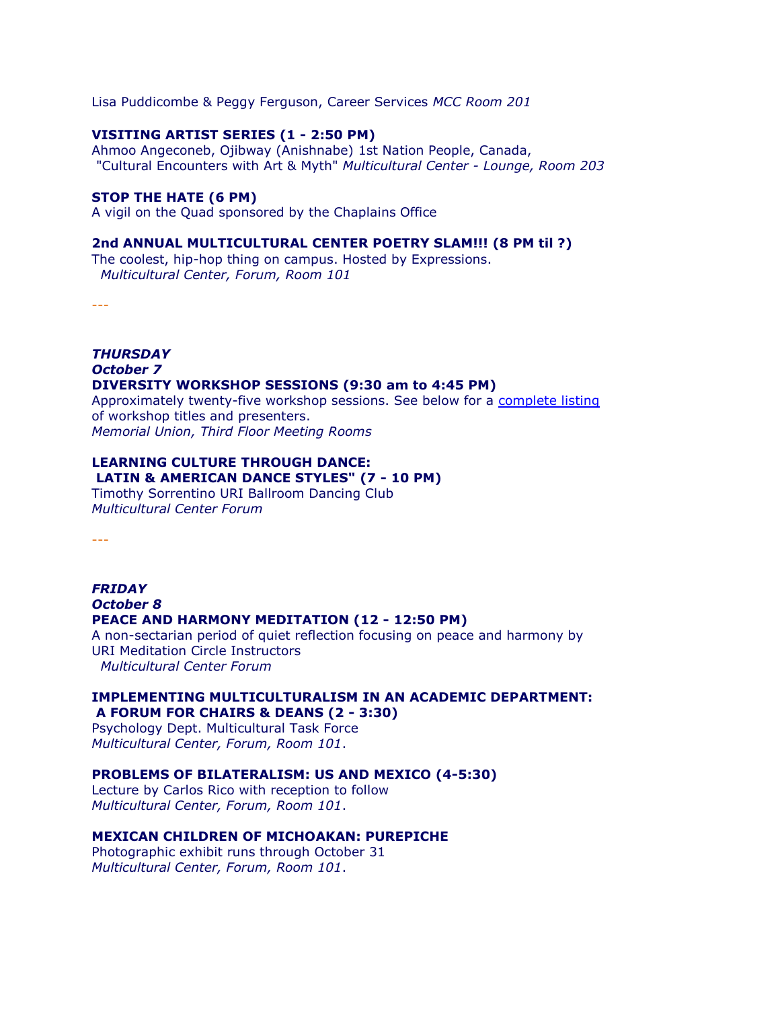Lisa Puddicombe & Peggy Ferguson, Career Services *MCC Room 201*

#### **VISITING ARTIST SERIES (1 - 2:50 PM)**

Ahmoo Angeconeb, Ojibway (Anishnabe) 1st Nation People, Canada, "Cultural Encounters with Art & Myth" *Multicultural Center - Lounge, Room 203*

#### **STOP THE HATE (6 PM)**

A vigil on the Quad sponsored by the Chaplains Office

#### **2nd ANNUAL MULTICULTURAL CENTER POETRY SLAM!!! (8 PM til ?)**

The coolest, hip-hop thing on campus. Hosted by Expressions. *Multicultural Center, Forum, Room 101*

---

#### *THURSDAY October 7* **DIVERSITY WORKSHOP SESSIONS (9:30 am to 4:45 PM)**

Approximately twenty-five workshop sessions. See below for a [complete listing](http://www.uri.edu/mcc/DiversityWeek/1999/index.html#workshops) of workshop titles and presenters. *Memorial Union, Third Floor Meeting Rooms*

## **LEARNING CULTURE THROUGH DANCE: LATIN & AMERICAN DANCE STYLES" (7 - 10 PM)**

Timothy Sorrentino URI Ballroom Dancing Club *Multicultural Center Forum*

---

## *FRIDAY October 8* **PEACE AND HARMONY MEDITATION (12 - 12:50 PM)**

A non-sectarian period of quiet reflection focusing on peace and harmony by URI Meditation Circle Instructors *Multicultural Center Forum*

#### **IMPLEMENTING MULTICULTURALISM IN AN ACADEMIC DEPARTMENT: A FORUM FOR CHAIRS & DEANS (2 - 3:30)**

Psychology Dept. Multicultural Task Force *Multicultural Center, Forum, Room 101*.

#### **PROBLEMS OF BILATERALISM: US AND MEXICO (4-5:30)**

Lecture by Carlos Rico with reception to follow *Multicultural Center, Forum, Room 101*.

## **MEXICAN CHILDREN OF MICHOAKAN: PUREPICHE**

Photographic exhibit runs through October 31 *Multicultural Center, Forum, Room 101*.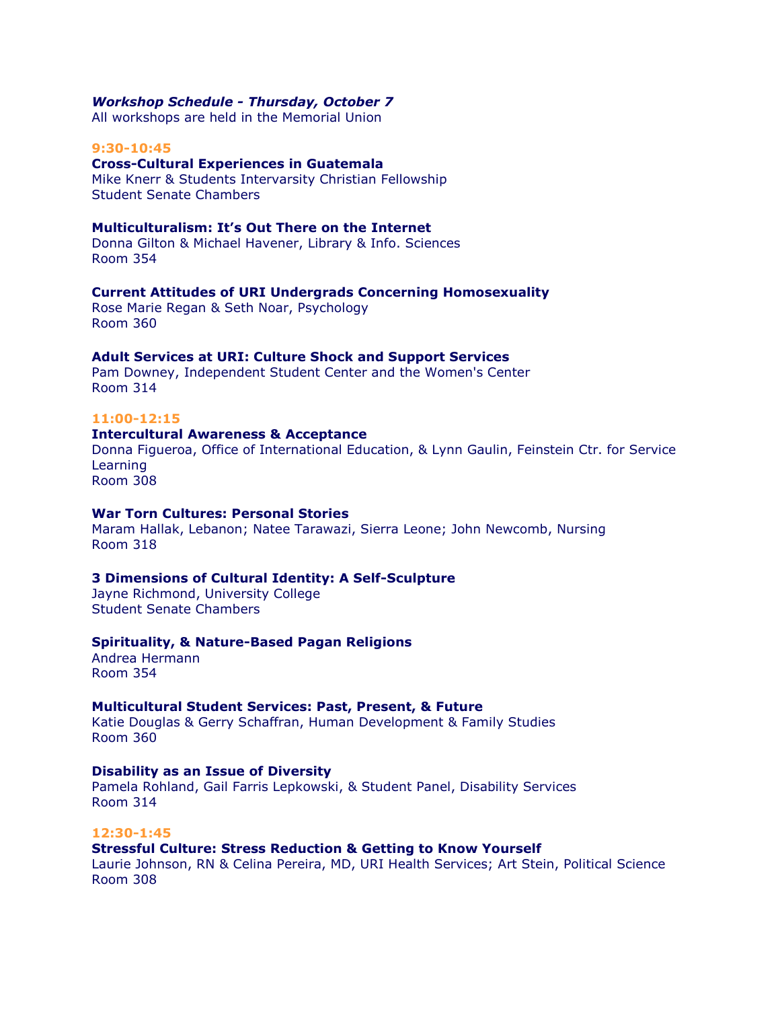#### *Workshop Schedule - Thursday, October 7*

All workshops are held in the Memorial Union

#### **9:30-10:45**

## **Cross-Cultural Experiences in Guatemala**

Mike Knerr & Students Intervarsity Christian Fellowship Student Senate Chambers

## **Multiculturalism: It's Out There on the Internet**

Donna Gilton & Michael Havener, Library & Info. Sciences Room 354

#### **Current Attitudes of URI Undergrads Concerning Homosexuality**

Rose Marie Regan & Seth Noar, Psychology Room 360

#### **Adult Services at URI: Culture Shock and Support Services**

Pam Downey, Independent Student Center and the Women's Center Room 314

## **11:00-12:15**

## **Intercultural Awareness & Acceptance**

Donna Figueroa, Office of International Education, & Lynn Gaulin, Feinstein Ctr. for Service Learning Room 308

## **War Torn Cultures: Personal Stories**

Maram Hallak, Lebanon; Natee Tarawazi, Sierra Leone; John Newcomb, Nursing Room 318

## **3 Dimensions of Cultural Identity: A Self-Sculpture**

Jayne Richmond, University College Student Senate Chambers

#### **Spirituality, & Nature-Based Pagan Religions**

Andrea Hermann Room 354

## **Multicultural Student Services: Past, Present, & Future**

Katie Douglas & Gerry Schaffran, Human Development & Family Studies Room 360

## **Disability as an Issue of Diversity**

Pamela Rohland, Gail Farris Lepkowski, & Student Panel, Disability Services Room 314

#### **12:30-1:45**

## **Stressful Culture: Stress Reduction & Getting to Know Yourself**

Laurie Johnson, RN & Celina Pereira, MD, URI Health Services; Art Stein, Political Science Room 308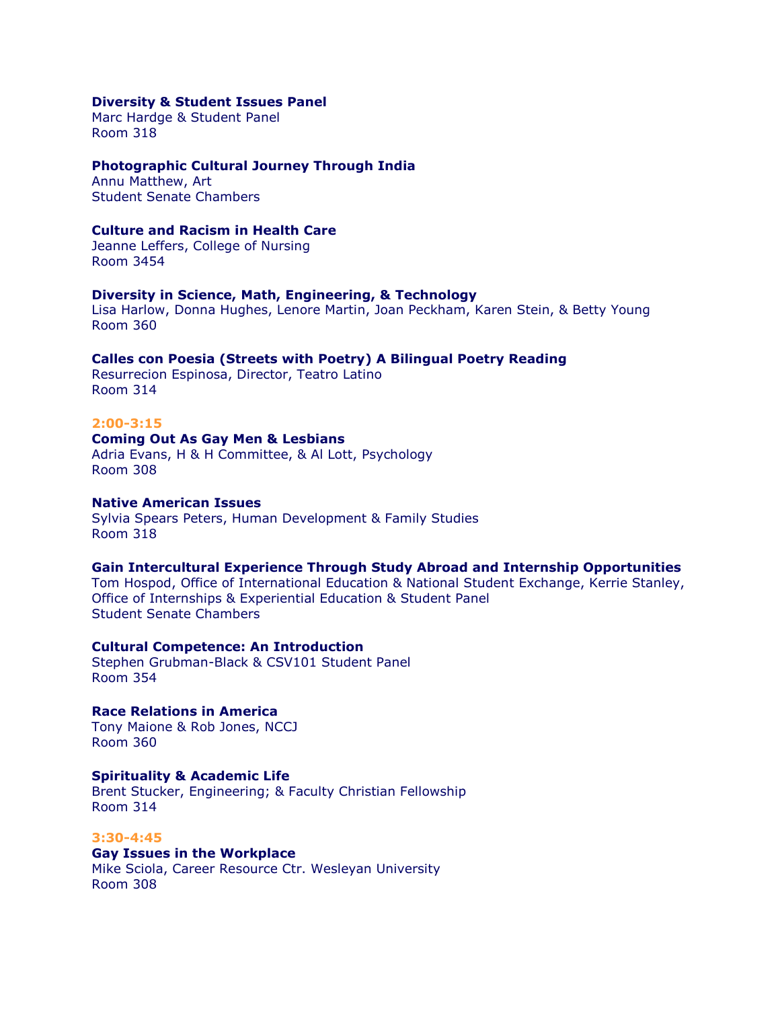#### **Diversity & Student Issues Panel**

Marc Hardge & Student Panel Room 318

## **Photographic Cultural Journey Through India**

Annu Matthew, Art Student Senate Chambers

## **Culture and Racism in Health Care**

Jeanne Leffers, College of Nursing Room 3454

## **Diversity in Science, Math, Engineering, & Technology**

Lisa Harlow, Donna Hughes, Lenore Martin, Joan Peckham, Karen Stein, & Betty Young Room 360

## **Calles con Poesia (Streets with Poetry) A Bilingual Poetry Reading**

Resurrecion Espinosa, Director, Teatro Latino Room 314

## **2:00-3:15**

## **Coming Out As Gay Men & Lesbians**

Adria Evans, H & H Committee, & Al Lott, Psychology Room 308

#### **Native American Issues**

Sylvia Spears Peters, Human Development & Family Studies Room 318

## **Gain Intercultural Experience Through Study Abroad and Internship Opportunities**

Tom Hospod, Office of International Education & National Student Exchange, Kerrie Stanley, Office of Internships & Experiential Education & Student Panel Student Senate Chambers

## **Cultural Competence: An Introduction**

Stephen Grubman-Black & CSV101 Student Panel Room 354

# **Race Relations in America**

Tony Maione & Rob Jones, NCCJ Room 360

#### **Spirituality & Academic Life**

Brent Stucker, Engineering; & Faculty Christian Fellowship Room 314

#### **3:30-4:45**

## **Gay Issues in the Workplace**

Mike Sciola, Career Resource Ctr. Wesleyan University Room 308